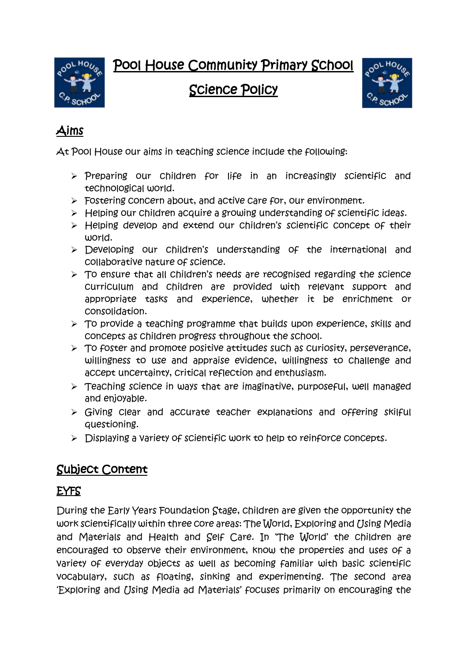Pool House Community Primary School



Science Policy



# Aims

At Pool House our aims in teaching science include the following:

- $\triangleright$  Preparing our children for life in an increasingly scientific and technological world.
- **Fostering concern about, and active care for, our environment.**
- $\triangleright$  Helping our children acquire a growing understanding of scientific ideas.
- > Helping develop and extend our children's scientific concept of their world.
- > Developing our children's understanding of the international and collaborative nature of science.
- $\triangleright$  To ensure that all children's needs are recognised regarding the science curriculum and children are provided with relevant support and appropriate tasks and experience, whether it be enrichment or consolidation.
- $\triangleright$  To provide a teaching programme that builds upon experience, skills and concepts as children progress throughout the school.
- $\triangleright$  To foster and promote positive attitudes such as curiosity, perseverance, willingness to use and appraise evidence, willingness to challenge and accept uncertainty, critical reflection and enthusiasm.
- $\triangleright$  Teaching science in ways that are imaginative, purposeful, well managed and enjoyable.
- $\triangleright$  Giving clear and accurate teacher explanations and offering skilful questioning.
- $\triangleright$  Displaying a variety of scientific work to help to reinforce concepts.

# Subject Content

## EYFS

During the Early Years Foundation Stage, children are given the opportunity the work scientifically within three core areas: The World, Exploring and *(Jsing Media*) and Materials and Health and Self Care. In 'The World' the children are encouraged to observe their environment, know the properties and uses of a variety of everyday objects as well as becoming familiar with basic scientific vocabulary, such as floating, sinking and experimenting. The second area 'Exploring and *[Jsing Media ad Materials' focuses primarily on encouraging the*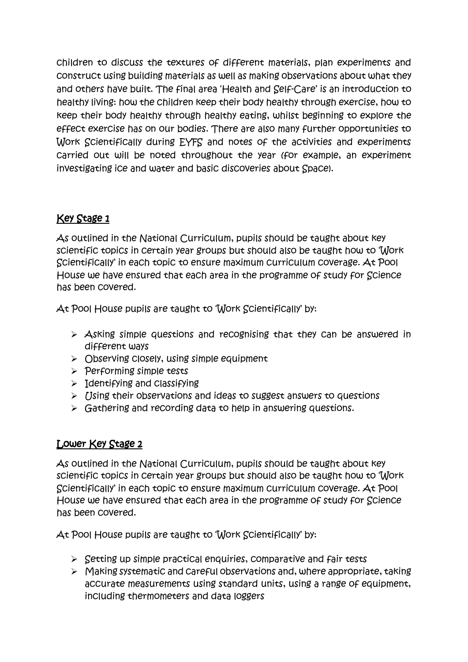children to discuss the textures of different materials, plan experiments and construct using building materials as well as making observations about what they and others have built. The final area 'Health and Self-Care' is an introduction to healthy living: how the children keep their body healthy through exercise, how to keep their body healthy through healthy eating, whilst beginning to explore the effect exercise has on our bodies. There are also many further opportunities to Work Scientifically during EYFS and notes of the activities and experiments carried out will be noted throughout the year (for example, an experiment investigating ice and water and basic discoveries about Space).

#### Key Stage 1

As outlined in the National Curriculum, pupils should be taught about key scientific topics in certain year groups but should also be taught how to 'Work Scientifically' in each topic to ensure maximum curriculum coverage. At Pool House we have ensured that each area in the programme of study for Science has been covered.

At Pool House pupils are taught to 'Work Scientifically' by:

- $\triangleright$  Asking simple questions and recognising that they can be answered in different ways
- $\triangleright$  Observing closely, using simple equipment
- $\triangleright$  Performing simple tests
- $\triangleright$  Identifying and Classifying
- $\triangleright$  [Jsing their observations and ideas to suggest answers to questions
- $\triangleright$  Gathering and recording data to help in answering questions.

#### Lower Key Stage 2

As outlined in the National Curriculum, pupils should be taught about key scientific topics in certain year groups but should also be taught how to 'Work Scientifically' in each topic to ensure maximum curriculum coverage. At Pool House we have ensured that each area in the programme of study for Science has been covered.

At Pool House pupils are taught to 'Work Scientifically' by:

- $\triangleright$  Setting up simple practical enquiries, comparative and fair tests
- $\triangleright$  Making systematic and careful observations and, where appropriate, taking accurate measurements using standard units, using a range of equipment, including thermometers and data loggers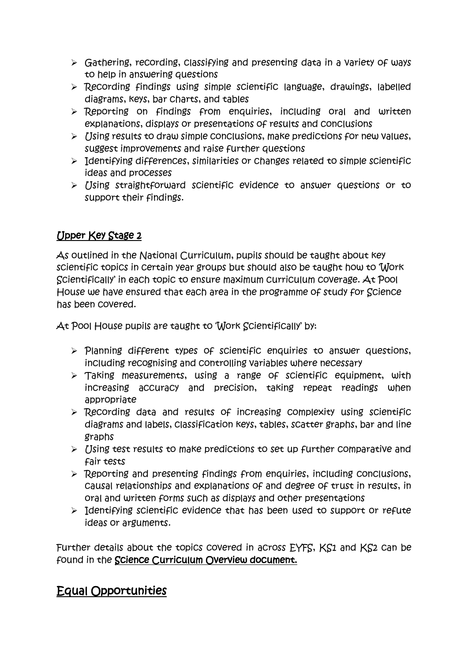- $\triangleright$  Gathering, recording, classifying and presenting data in a Variety of ways to help in answering questions
- $\triangleright$  Recording findings using simple scientific language, drawings, labelled diagrams, keys, bar charts, and tables
- > Reporting on findings from enquiries, including oral and written explanations, displays or presentations of results and conclusions
- $\triangleright$  [Jsing results to draw simple conclusions, make predictions for new values, suggest improvements and raise further questions
- $\triangleright$  Identifying differences, similarities or changes related to simple scientific ideas and processes
- $\triangleright$  [Jsing straightforward scientific evidence to answer questions or to support their findings.

#### Upper Key Stage 2

As outlined in the National Curriculum, pupils should be taught about key scientific topics in certain year groups but should also be taught how to 'Work Scientifically' in each topic to ensure maximum curriculum coverage. At Pool House we have ensured that each area in the programme of study for Science has been covered.

At Pool House pupils are taught to 'Work Scientifically' by:

- $\triangleright$  Planning different types of scientific enquiries to answer questions, including recognising and controlling variables where necessary
- Taking measurements, using a range of scientific equipment, with increasing accuracy and precision, taking repeat readings when appropriate
- $\triangleright$  Recording data and results of increasing complexity using scientific diagrams and labels, classification keys, tables, scatter graphs, bar and line graphs
- $\triangleright$  [Jsing test results to make predictions to set up further comparative and fair tests
- $\triangleright$  Reporting and presenting findings from enquiries, including conclusions, causal relationships and explanations of and degree of trust in results, in oral and written forms such as displays and other presentations
- $\triangleright$  Identifying scientific evidence that has been used to support or refute ideas or arguments.

Further details about the topics covered in across EYFS, KS1 and KS2 can be found in the Science Curriculum Overview document.

#### Equal Opportunities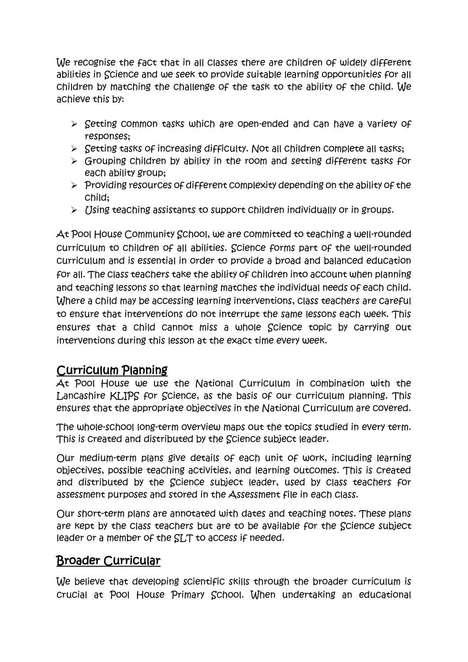We recognise the fact that in all classes there are children of widely different abilities in Science and we seek to provide suitable learning opportunities for all children by matching the challenge of the task to the ability of the child. We achieve this by:

- $\triangleright$  Setting common tasks which are open-ended and can have a variety of responses;
- $\triangleright$  Setting tasks of increasing difficulty. Not all children complete all tasks;
- $\triangleright$  Grouping children by ability in the room and setting different tasks for each ability group;
- $\triangleright$  Providing resources of different complexity depending on the ability of the child;
- $\triangleright$  Using teaching assistants to support children individually or in groups.

At Pool House Community School, we are committed to teaching a well-rounded curriculum to children of all abilities. Science forms part of the well-rounded curriculum and is essential in order to provide a broad and balanced education for all. The class teachers take the ability of children into account when planning and teaching lessons so that learning matches the individual needs of each child. Where a child may be accessing learning interventions, class teachers are careful to ensure that interventions do not interrupt the same lessons each week. This ensures that a child cannot miss a whole Science topic by carrying out interventions during this lesson at the exact time every week.

#### Curriculum Planning

At Pool House we use the National Curriculum in combination with the Lancashire KLIPS for Science, as the basis of our curriculum planning. This ensures that the appropriate objectives in the National Curriculum are covered.

The whole-school long-term overview maps out the topics studied in every term. This is created and distributed by the Science subject leader.

Our medium-term plans give details of each unit of work, including learning objectives, possible teaching activities, and learning outcomes. This is created and distributed by the Science subject leader, used by class teachers for assessment purposes and stored in the Assessment file in each class.

Our short-term plans are annotated with dates and teaching notes. These plans are kept by the class teachers but are to be available for the Science subject leader or a member of the SLT to access if needed.

#### Broader Curricular

We believe that developing scientific skills through the broader curriculum is crucial at Pool House Primary School. When undertaking an educational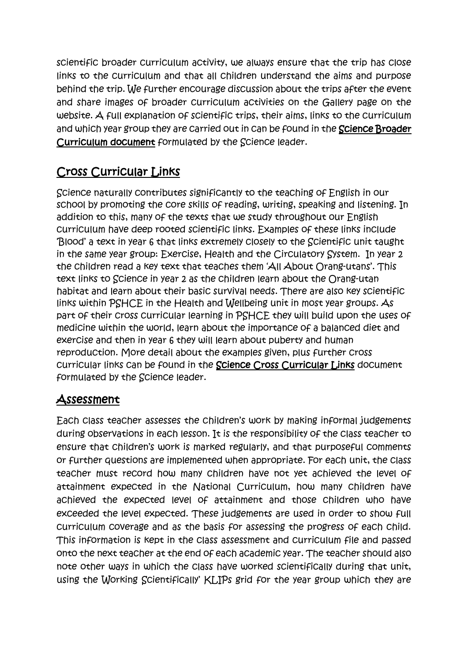scientific broader curriculum activity, we always ensure that the trip has close links to the curriculum and that all children understand the aims and purpose behind the trip. We further encourage discussion about the trips after the event and share images of broader curriculum activities on the Gallery page on the website. A full explanation of scientific trips, their aims, links to the curriculum and which year group they are carried out in can be found in the Science Broader Curriculum document formulated by the Science leader.

## Cross Curricular Links

Science naturally contributes significantly to the teaching of English in our school by promoting the core skills of reading, writing, speaking and listening. In addition to this, many of the texts that we study throughout our English curriculum have deep rooted scientific links. Examples of these links include 'Blood' a text in year 6 that links extremely closely to the Scientific unit taught in the same year group: Exercise, Health and the Circulatory System. In year 2 the children read a key text that teaches them 'All About Orang-utans'. This text links to Science in year 2 as the children learn about the Orang-utan habitat and learn about their basic survival needs. There are also key scientific links within PSHCE in the Health and Wellbeing unit in most year groups. As part of their cross curricular learning in PSHCE they will build upon the uses of medicine within the world, learn about the importance of a balanced diet and exercise and then in year 6 they will learn about puberty and human reproduction. More detail about the examples given, plus further cross curricular links can be found in the Science Cross Curricular Links document formulated by the Science leader.

#### Assessment

Each class teacher assesses the children's work by making informal judgements during observations in each lesson. It is the responsibility of the class teacher to ensure that children's work is marked regularly, and that purposeful comments or further questions are implemented when appropriate. For each unit, the class teacher must record how many children have not yet achieved the level of attainment expected in the National Curriculum, how many children have achieved the expected level of attainment and those children who have exceeded the level expected. These judgements are used in order to show full curriculum coverage and as the basis for assessing the progress of each child. This information is kept in the class assessment and curriculum file and passed onto the next teacher at the end of each academic year. The teacher should also note other ways in which the class have worked scientifically during that unit, using the Working Scientifically' KLIPs grid for the year group which they are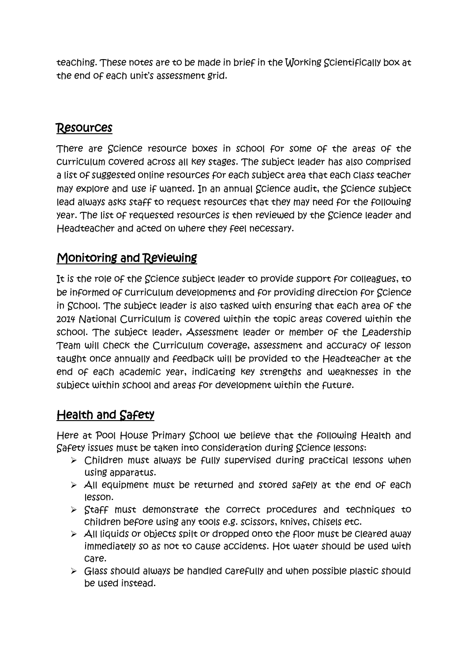teaching. These notes are to be made in brief in the Working Scientifically box at the end of each unit's assessment grid.

### Resources

There are Science resource boxes in school for some of the areas of the curriculum covered across all key stages. The subject leader has also comprised a list of suggested online resources for each subject area that each class teacher may explore and use if wanted. In an annual Science audit, the Science subject lead always asks staff to request resources that they may need for the following year. The list of requested resources is then reviewed by the Science leader and Headteacher and acted on where they feel necessary.

#### Monitoring and Reviewing

It is the role of the Science subject leader to provide support for colleagues, to be informed of curriculum developments and for providing direction for Science in School. The subject leader is also tasked with ensuring that each area of the 2014 National Curriculum is covered within the topic areas covered within the school. The subject leader, Assessment leader or member of the Leadership Team will check the Curriculum coverage, assessment and accuracy of lesson taught once annually and feedback will be provided to the Headteacher at the end of each academic year, indicating key strengths and weaknesses in the subject within school and areas for development within the future.

## Health and Safety

Here at Pool House Primary School we believe that the following Health and Safety issues must be taken into consideration during Science lessons:

- $\triangleright$  Children must always be fully supervised during practical lessons when using apparatus.
- $\triangleright$  All equipment must be returned and stored safely at the end of each lesson.
- $\triangleright$  Staff must demonstrate the correct procedures and techniques to children before using any tools e.g. scissors, knives, chisels etc.
- $\triangleright$  All liquids or objects spilt or dropped onto the floor must be cleared away immediately so as not to cause accidents. Hot water should be used with care.
- $\triangleright$  Glass should always be handled carefully and when possible plastic should be used instead.